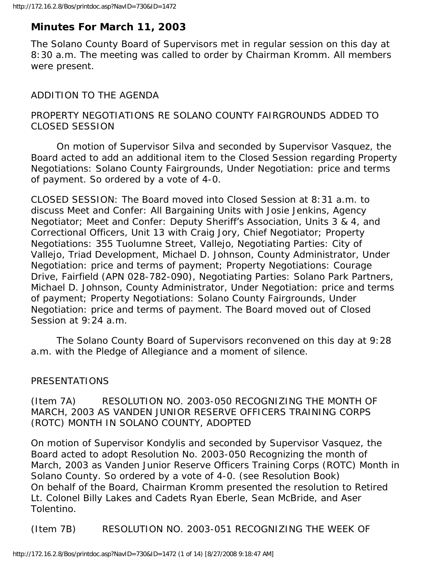# **Minutes For March 11, 2003**

The Solano County Board of Supervisors met in regular session on this day at 8:30 a.m. The meeting was called to order by Chairman Kromm. All members were present.

# ADDITION TO THE AGENDA

# PROPERTY NEGOTIATIONS RE SOLANO COUNTY FAIRGROUNDS ADDED TO CLOSED SESSION

 On motion of Supervisor Silva and seconded by Supervisor Vasquez, the Board acted to add an additional item to the Closed Session regarding Property Negotiations: Solano County Fairgrounds, Under Negotiation: price and terms of payment. So ordered by a vote of 4-0.

CLOSED SESSION: The Board moved into Closed Session at 8:31 a.m. to discuss Meet and Confer: All Bargaining Units with Josie Jenkins, Agency Negotiator; Meet and Confer: Deputy Sheriff's Association, Units 3 & 4, and Correctional Officers, Unit 13 with Craig Jory, Chief Negotiator; Property Negotiations: 355 Tuolumne Street, Vallejo, Negotiating Parties: City of Vallejo, Triad Development, Michael D. Johnson, County Administrator, Under Negotiation: price and terms of payment; Property Negotiations: Courage Drive, Fairfield (APN 028-782-090), Negotiating Parties: Solano Park Partners, Michael D. Johnson, County Administrator, Under Negotiation: price and terms of payment; Property Negotiations: Solano County Fairgrounds, Under Negotiation: price and terms of payment. The Board moved out of Closed Session at 9:24 a.m.

 The Solano County Board of Supervisors reconvened on this day at 9:28 a.m. with the Pledge of Allegiance and a moment of silence.

# PRESENTATIONS

(Item 7A) RESOLUTION NO. 2003-050 RECOGNIZING THE MONTH OF MARCH, 2003 AS VANDEN JUNIOR RESERVE OFFICERS TRAINING CORPS (ROTC) MONTH IN SOLANO COUNTY, ADOPTED

On motion of Supervisor Kondylis and seconded by Supervisor Vasquez, the Board acted to adopt Resolution No. 2003-050 Recognizing the month of March, 2003 as Vanden Junior Reserve Officers Training Corps (ROTC) Month in Solano County. So ordered by a vote of 4-0. (see Resolution Book) On behalf of the Board, Chairman Kromm presented the resolution to Retired Lt. Colonel Billy Lakes and Cadets Ryan Eberle, Sean McBride, and Aser Tolentino.

(Item 7B) RESOLUTION NO. 2003-051 RECOGNIZING THE WEEK OF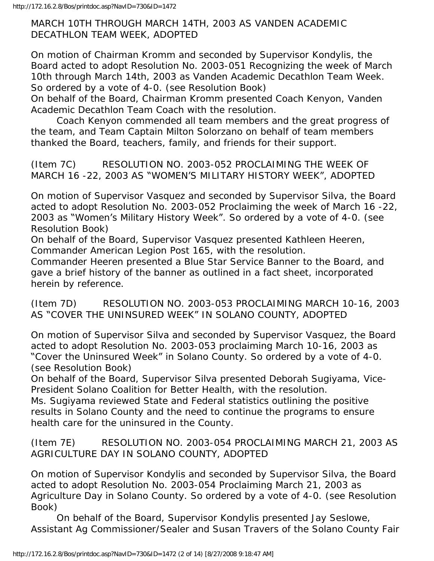MARCH 10TH THROUGH MARCH 14TH, 2003 AS VANDEN ACADEMIC DECATHLON TEAM WEEK, ADOPTED

On motion of Chairman Kromm and seconded by Supervisor Kondylis, the Board acted to adopt Resolution No. 2003-051 Recognizing the week of March 10th through March 14th, 2003 as Vanden Academic Decathlon Team Week. So ordered by a vote of 4-0. (see Resolution Book)

On behalf of the Board, Chairman Kromm presented Coach Kenyon, Vanden Academic Decathlon Team Coach with the resolution.

 Coach Kenyon commended all team members and the great progress of the team, and Team Captain Milton Solorzano on behalf of team members thanked the Board, teachers, family, and friends for their support.

(Item 7C) RESOLUTION NO. 2003-052 PROCLAIMING THE WEEK OF MARCH 16 -22, 2003 AS "WOMEN'S MILITARY HISTORY WEEK", ADOPTED

On motion of Supervisor Vasquez and seconded by Supervisor Silva, the Board acted to adopt Resolution No. 2003-052 Proclaiming the week of March 16 -22, 2003 as "Women's Military History Week". So ordered by a vote of 4-0. (see Resolution Book)

On behalf of the Board, Supervisor Vasquez presented Kathleen Heeren, Commander American Legion Post 165, with the resolution.

Commander Heeren presented a Blue Star Service Banner to the Board, and gave a brief history of the banner as outlined in a fact sheet, incorporated herein by reference.

(Item 7D) RESOLUTION NO. 2003-053 PROCLAIMING MARCH 10-16, 2003 AS "COVER THE UNINSURED WEEK" IN SOLANO COUNTY, ADOPTED

On motion of Supervisor Silva and seconded by Supervisor Vasquez, the Board acted to adopt Resolution No. 2003-053 proclaiming March 10-16, 2003 as "Cover the Uninsured Week" in Solano County. So ordered by a vote of 4-0. (see Resolution Book)

On behalf of the Board, Supervisor Silva presented Deborah Sugiyama, Vice-President Solano Coalition for Better Health, with the resolution.

Ms. Sugiyama reviewed State and Federal statistics outlining the positive results in Solano County and the need to continue the programs to ensure health care for the uninsured in the County.

(Item 7E) RESOLUTION NO. 2003-054 PROCLAIMING MARCH 21, 2003 AS AGRICULTURE DAY IN SOLANO COUNTY, ADOPTED

On motion of Supervisor Kondylis and seconded by Supervisor Silva, the Board acted to adopt Resolution No. 2003-054 Proclaiming March 21, 2003 as Agriculture Day in Solano County. So ordered by a vote of 4-0. (see Resolution Book)

 On behalf of the Board, Supervisor Kondylis presented Jay Seslowe, Assistant Ag Commissioner/Sealer and Susan Travers of the Solano County Fair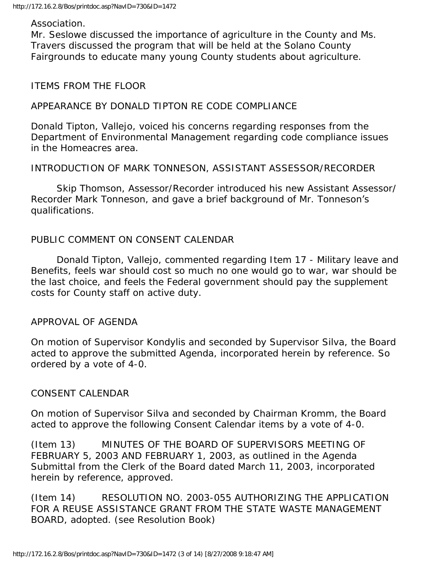#### Association.

Mr. Seslowe discussed the importance of agriculture in the County and Ms. Travers discussed the program that will be held at the Solano County Fairgrounds to educate many young County students about agriculture.

#### ITEMS FROM THE FLOOR

### APPEARANCE BY DONALD TIPTON RE CODE COMPLIANCE

Donald Tipton, Vallejo, voiced his concerns regarding responses from the Department of Environmental Management regarding code compliance issues in the Homeacres area.

### INTRODUCTION OF MARK TONNESON, ASSISTANT ASSESSOR/RECORDER

 Skip Thomson, Assessor/Recorder introduced his new Assistant Assessor/ Recorder Mark Tonneson, and gave a brief background of Mr. Tonneson's qualifications.

# PUBLIC COMMENT ON CONSENT CALENDAR

 Donald Tipton, Vallejo, commented regarding Item 17 - Military leave and Benefits, feels war should cost so much no one would go to war, war should be the last choice, and feels the Federal government should pay the supplement costs for County staff on active duty.

#### APPROVAL OF AGENDA

On motion of Supervisor Kondylis and seconded by Supervisor Silva, the Board acted to approve the submitted Agenda, incorporated herein by reference. So ordered by a vote of 4-0.

#### CONSENT CALENDAR

On motion of Supervisor Silva and seconded by Chairman Kromm, the Board acted to approve the following Consent Calendar items by a vote of 4-0.

(Item 13) MINUTES OF THE BOARD OF SUPERVISORS MEETING OF FEBRUARY 5, 2003 AND FEBRUARY 1, 2003, as outlined in the Agenda Submittal from the Clerk of the Board dated March 11, 2003, incorporated herein by reference, approved.

(Item 14) RESOLUTION NO. 2003-055 AUTHORIZING THE APPLICATION FOR A REUSE ASSISTANCE GRANT FROM THE STATE WASTE MANAGEMENT BOARD, adopted. (see Resolution Book)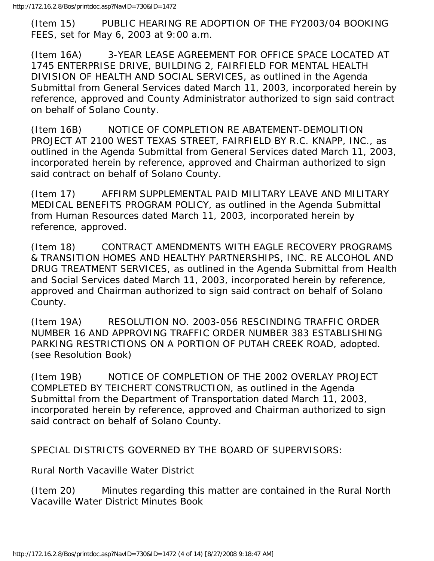(Item 15) PUBLIC HEARING RE ADOPTION OF THE FY2003/04 BOOKING FEES, set for May 6, 2003 at 9:00 a.m.

(Item 16A) 3-YEAR LEASE AGREEMENT FOR OFFICE SPACE LOCATED AT 1745 ENTERPRISE DRIVE, BUILDING 2, FAIRFIELD FOR MENTAL HEALTH DIVISION OF HEALTH AND SOCIAL SERVICES, as outlined in the Agenda Submittal from General Services dated March 11, 2003, incorporated herein by reference, approved and County Administrator authorized to sign said contract on behalf of Solano County.

(Item 16B) NOTICE OF COMPLETION RE ABATEMENT-DEMOLITION PROJECT AT 2100 WEST TEXAS STREET, FAIRFIELD BY R.C. KNAPP, INC., as outlined in the Agenda Submittal from General Services dated March 11, 2003, incorporated herein by reference, approved and Chairman authorized to sign said contract on behalf of Solano County.

(Item 17) AFFIRM SUPPLEMENTAL PAID MILITARY LEAVE AND MILITARY MEDICAL BENEFITS PROGRAM POLICY, as outlined in the Agenda Submittal from Human Resources dated March 11, 2003, incorporated herein by reference, approved.

(Item 18) CONTRACT AMENDMENTS WITH EAGLE RECOVERY PROGRAMS & TRANSITION HOMES AND HEALTHY PARTNERSHIPS, INC. RE ALCOHOL AND DRUG TREATMENT SERVICES, as outlined in the Agenda Submittal from Health and Social Services dated March 11, 2003, incorporated herein by reference, approved and Chairman authorized to sign said contract on behalf of Solano County.

(Item 19A) RESOLUTION NO. 2003-056 RESCINDING TRAFFIC ORDER NUMBER 16 AND APPROVING TRAFFIC ORDER NUMBER 383 ESTABLISHING PARKING RESTRICTIONS ON A PORTION OF PUTAH CREEK ROAD, adopted. (see Resolution Book)

(Item 19B) NOTICE OF COMPLETION OF THE 2002 OVERLAY PROJECT COMPLETED BY TEICHERT CONSTRUCTION, as outlined in the Agenda Submittal from the Department of Transportation dated March 11, 2003, incorporated herein by reference, approved and Chairman authorized to sign said contract on behalf of Solano County.

SPECIAL DISTRICTS GOVERNED BY THE BOARD OF SUPERVISORS:

Rural North Vacaville Water District

(Item 20) Minutes regarding this matter are contained in the Rural North Vacaville Water District Minutes Book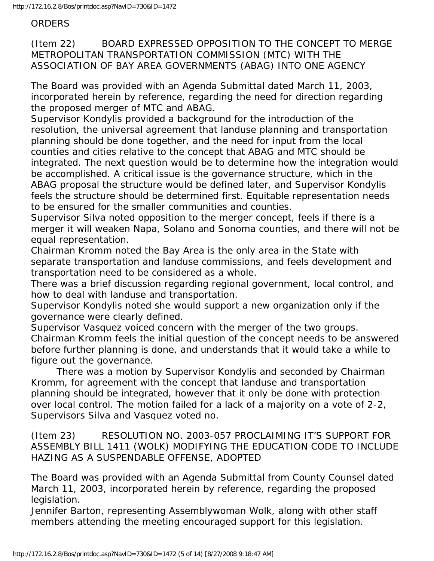ORDERS

(Item 22) BOARD EXPRESSED OPPOSITION TO THE CONCEPT TO MERGE METROPOLITAN TRANSPORTATION COMMISSION (MTC) WITH THE ASSOCIATION OF BAY AREA GOVERNMENTS (ABAG) INTO ONE AGENCY

The Board was provided with an Agenda Submittal dated March 11, 2003, incorporated herein by reference, regarding the need for direction regarding the proposed merger of MTC and ABAG.

Supervisor Kondylis provided a background for the introduction of the resolution, the universal agreement that landuse planning and transportation planning should be done together, and the need for input from the local counties and cities relative to the concept that ABAG and MTC should be integrated. The next question would be to determine how the integration would be accomplished. A critical issue is the governance structure, which in the ABAG proposal the structure would be defined later, and Supervisor Kondylis feels the structure should be determined first. Equitable representation needs to be ensured for the smaller communities and counties.

Supervisor Silva noted opposition to the merger concept, feels if there is a merger it will weaken Napa, Solano and Sonoma counties, and there will not be equal representation.

Chairman Kromm noted the Bay Area is the only area in the State with separate transportation and landuse commissions, and feels development and transportation need to be considered as a whole.

There was a brief discussion regarding regional government, local control, and how to deal with landuse and transportation.

Supervisor Kondylis noted she would support a new organization only if the governance were clearly defined.

Supervisor Vasquez voiced concern with the merger of the two groups. Chairman Kromm feels the initial question of the concept needs to be answered before further planning is done, and understands that it would take a while to figure out the governance.

 There was a motion by Supervisor Kondylis and seconded by Chairman Kromm, for agreement with the concept that landuse and transportation planning should be integrated, however that it only be done with protection over local control. The motion failed for a lack of a majority on a vote of 2-2, Supervisors Silva and Vasquez voted no.

(Item 23) RESOLUTION NO. 2003-057 PROCLAIMING IT'S SUPPORT FOR ASSEMBLY BILL 1411 (WOLK) MODIFYING THE EDUCATION CODE TO INCLUDE HAZING AS A SUSPENDABLE OFFENSE, ADOPTED

The Board was provided with an Agenda Submittal from County Counsel dated March 11, 2003, incorporated herein by reference, regarding the proposed legislation.

Jennifer Barton, representing Assemblywoman Wolk, along with other staff members attending the meeting encouraged support for this legislation.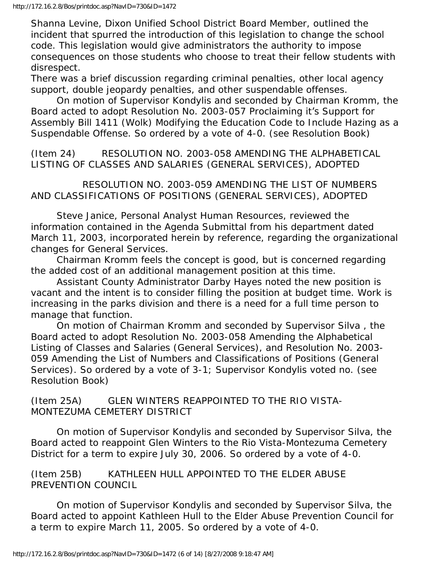Shanna Levine, Dixon Unified School District Board Member, outlined the incident that spurred the introduction of this legislation to change the school code. This legislation would give administrators the authority to impose consequences on those students who choose to treat their fellow students with disrespect.

There was a brief discussion regarding criminal penalties, other local agency support, double jeopardy penalties, and other suspendable offenses.

 On motion of Supervisor Kondylis and seconded by Chairman Kromm, the Board acted to adopt Resolution No. 2003-057 Proclaiming it's Support for Assembly Bill 1411 (Wolk) Modifying the Education Code to Include Hazing as a Suspendable Offense. So ordered by a vote of 4-0. (see Resolution Book)

(Item 24) RESOLUTION NO. 2003-058 AMENDING THE ALPHABETICAL LISTING OF CLASSES AND SALARIES (GENERAL SERVICES), ADOPTED

 RESOLUTION NO. 2003-059 AMENDING THE LIST OF NUMBERS AND CLASSIFICATIONS OF POSITIONS (GENERAL SERVICES), ADOPTED

 Steve Janice, Personal Analyst Human Resources, reviewed the information contained in the Agenda Submittal from his department dated March 11, 2003, incorporated herein by reference, regarding the organizational changes for General Services.

 Chairman Kromm feels the concept is good, but is concerned regarding the added cost of an additional management position at this time.

 Assistant County Administrator Darby Hayes noted the new position is vacant and the intent is to consider filling the position at budget time. Work is increasing in the parks division and there is a need for a full time person to manage that function.

 On motion of Chairman Kromm and seconded by Supervisor Silva , the Board acted to adopt Resolution No. 2003-058 Amending the Alphabetical Listing of Classes and Salaries (General Services), and Resolution No. 2003- 059 Amending the List of Numbers and Classifications of Positions (General Services). So ordered by a vote of 3-1; Supervisor Kondylis voted no. (see Resolution Book)

(Item 25A) GLEN WINTERS REAPPOINTED TO THE RIO VISTA-MONTEZUMA CEMETERY DISTRICT

 On motion of Supervisor Kondylis and seconded by Supervisor Silva, the Board acted to reappoint Glen Winters to the Rio Vista-Montezuma Cemetery District for a term to expire July 30, 2006. So ordered by a vote of 4-0.

(Item 25B) KATHLEEN HULL APPOINTED TO THE ELDER ABUSE PREVENTION COUNCIL

 On motion of Supervisor Kondylis and seconded by Supervisor Silva, the Board acted to appoint Kathleen Hull to the Elder Abuse Prevention Council for a term to expire March 11, 2005. So ordered by a vote of 4-0.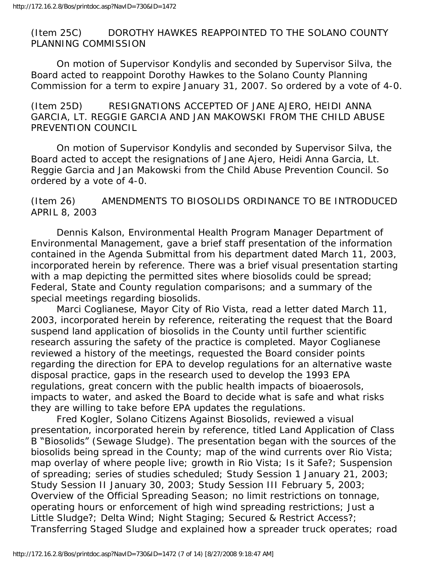(Item 25C) DOROTHY HAWKES REAPPOINTED TO THE SOLANO COUNTY PLANNING COMMISSION

 On motion of Supervisor Kondylis and seconded by Supervisor Silva, the Board acted to reappoint Dorothy Hawkes to the Solano County Planning Commission for a term to expire January 31, 2007. So ordered by a vote of 4-0.

(Item 25D) RESIGNATIONS ACCEPTED OF JANE AJERO, HEIDI ANNA GARCIA, LT. REGGIE GARCIA AND JAN MAKOWSKI FROM THE CHILD ABUSE PREVENTION COUNCIL

 On motion of Supervisor Kondylis and seconded by Supervisor Silva, the Board acted to accept the resignations of Jane Ajero, Heidi Anna Garcia, Lt. Reggie Garcia and Jan Makowski from the Child Abuse Prevention Council. So ordered by a vote of 4-0.

# (Item 26) AMENDMENTS TO BIOSOLIDS ORDINANCE TO BE INTRODUCED APRIL 8, 2003

 Dennis Kalson, Environmental Health Program Manager Department of Environmental Management, gave a brief staff presentation of the information contained in the Agenda Submittal from his department dated March 11, 2003, incorporated herein by reference. There was a brief visual presentation starting with a map depicting the permitted sites where biosolids could be spread; Federal, State and County regulation comparisons; and a summary of the special meetings regarding biosolids.

 Marci Coglianese, Mayor City of Rio Vista, read a letter dated March 11, 2003, incorporated herein by reference, reiterating the request that the Board suspend land application of biosolids in the County until further scientific research assuring the safety of the practice is completed. Mayor Coglianese reviewed a history of the meetings, requested the Board consider points regarding the direction for EPA to develop regulations for an alternative waste disposal practice, gaps in the research used to develop the 1993 EPA regulations, great concern with the public health impacts of bioaerosols, impacts to water, and asked the Board to decide what is safe and what risks they are willing to take before EPA updates the regulations.

 Fred Kogler, Solano Citizens Against Biosolids, reviewed a visual presentation, incorporated herein by reference, titled Land Application of Class B "Biosolids" (Sewage Sludge). The presentation began with the sources of the biosolids being spread in the County; map of the wind currents over Rio Vista; map overlay of where people live; growth in Rio Vista; Is it Safe?; Suspension of spreading; series of studies scheduled; Study Session 1 January 21, 2003; Study Session II January 30, 2003; Study Session III February 5, 2003; Overview of the Official Spreading Season; no limit restrictions on tonnage, operating hours or enforcement of high wind spreading restrictions; Just a Little Sludge?; Delta Wind; Night Staging; Secured & Restrict Access?; Transferring Staged Sludge and explained how a spreader truck operates; road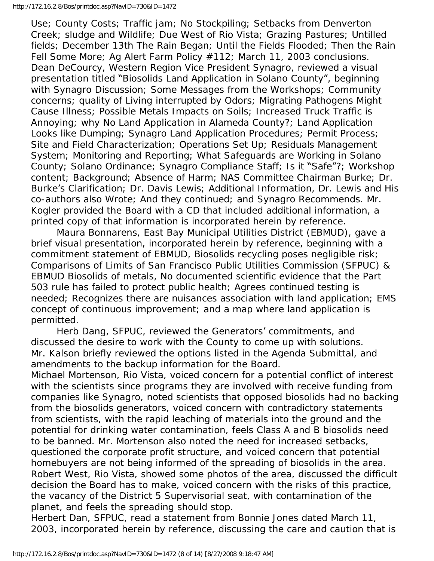#### http://172.16.2.8/Bos/printdoc.asp?NavID=730&ID=1472

Use; County Costs; Traffic jam; No Stockpiling; Setbacks from Denverton Creek; sludge and Wildlife; Due West of Rio Vista; Grazing Pastures; Untilled fields; December 13th The Rain Began; Until the Fields Flooded; Then the Rain Fell Some More; Ag Alert Farm Policy #112; March 11, 2003 conclusions. Dean DeCourcy, Western Region Vice President Synagro, reviewed a visual presentation titled "Biosolids Land Application in Solano County", beginning with Synagro Discussion; Some Messages from the Workshops; Community concerns; quality of Living interrupted by Odors; Migrating Pathogens Might Cause Illness; Possible Metals Impacts on Soils; Increased Truck Traffic is Annoying; why No Land Application in Alameda County?; Land Application Looks like Dumping; Synagro Land Application Procedures; Permit Process; Site and Field Characterization; Operations Set Up; Residuals Management System; Monitoring and Reporting; What Safeguards are Working in Solano County; Solano Ordinance; Synagro Compliance Staff; Is it "Safe"?; Workshop content; Background; Absence of Harm; NAS Committee Chairman Burke; Dr. Burke's Clarification; Dr. Davis Lewis; Additional Information, Dr. Lewis and His co-authors also Wrote; And they continued; and Synagro Recommends. Mr. Kogler provided the Board with a CD that included additional information, a printed copy of that information is incorporated herein by reference.

 Maura Bonnarens, East Bay Municipal Utilities District (EBMUD), gave a brief visual presentation, incorporated herein by reference, beginning with a commitment statement of EBMUD, Biosolids recycling poses negligible risk; Comparisons of Limits of San Francisco Public Utilities Commission (SFPUC) & EBMUD Biosolids of metals, No documented scientific evidence that the Part 503 rule has failed to protect public health; Agrees continued testing is needed; Recognizes there are nuisances association with land application; EMS concept of continuous improvement; and a map where land application is permitted.

 Herb Dang, SFPUC, reviewed the Generators' commitments, and discussed the desire to work with the County to come up with solutions. Mr. Kalson briefly reviewed the options listed in the Agenda Submittal, and amendments to the backup information for the Board.

Michael Mortenson, Rio Vista, voiced concern for a potential conflict of interest with the scientists since programs they are involved with receive funding from companies like Synagro, noted scientists that opposed biosolids had no backing from the biosolids generators, voiced concern with contradictory statements from scientists, with the rapid leaching of materials into the ground and the potential for drinking water contamination, feels Class A and B biosolids need to be banned. Mr. Mortenson also noted the need for increased setbacks, questioned the corporate profit structure, and voiced concern that potential homebuyers are not being informed of the spreading of biosolids in the area. Robert West, Rio Vista, showed some photos of the area, discussed the difficult decision the Board has to make, voiced concern with the risks of this practice, the vacancy of the District 5 Supervisorial seat, with contamination of the planet, and feels the spreading should stop.

Herbert Dan, SFPUC, read a statement from Bonnie Jones dated March 11, 2003, incorporated herein by reference, discussing the care and caution that is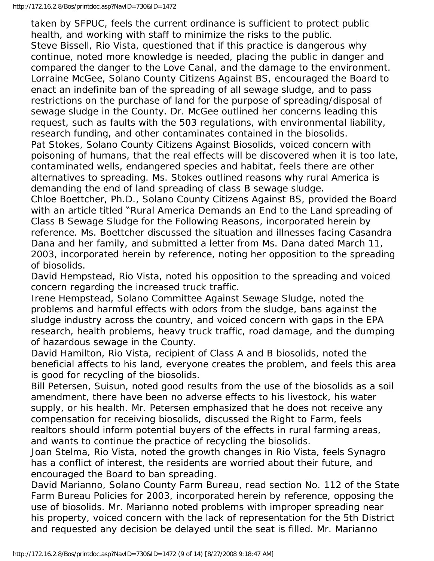taken by SFPUC, feels the current ordinance is sufficient to protect public health, and working with staff to minimize the risks to the public. Steve Bissell, Rio Vista, questioned that if this practice is dangerous why continue, noted more knowledge is needed, placing the public in danger and compared the danger to the Love Canal, and the damage to the environment. Lorraine McGee, Solano County Citizens Against BS, encouraged the Board to enact an indefinite ban of the spreading of all sewage sludge, and to pass restrictions on the purchase of land for the purpose of spreading/disposal of sewage sludge in the County. Dr. McGee outlined her concerns leading this request, such as faults with the 503 regulations, with environmental liability, research funding, and other contaminates contained in the biosolids. Pat Stokes, Solano County Citizens Against Biosolids, voiced concern with poisoning of humans, that the real effects will be discovered when it is too late, contaminated wells, endangered species and habitat, feels there are other alternatives to spreading. Ms. Stokes outlined reasons why rural America is demanding the end of land spreading of class B sewage sludge.

Chloe Boettcher, Ph.D., Solano County Citizens Against BS, provided the Board with an article titled "Rural America Demands an End to the Land spreading of Class B Sewage Sludge for the Following Reasons, incorporated herein by reference. Ms. Boettcher discussed the situation and illnesses facing Casandra Dana and her family, and submitted a letter from Ms. Dana dated March 11, 2003, incorporated herein by reference, noting her opposition to the spreading of biosolids.

David Hempstead, Rio Vista, noted his opposition to the spreading and voiced concern regarding the increased truck traffic.

Irene Hempstead, Solano Committee Against Sewage Sludge, noted the problems and harmful effects with odors from the sludge, bans against the sludge industry across the country, and voiced concern with gaps in the EPA research, health problems, heavy truck traffic, road damage, and the dumping of hazardous sewage in the County.

David Hamilton, Rio Vista, recipient of Class A and B biosolids, noted the beneficial affects to his land, everyone creates the problem, and feels this area is good for recycling of the biosolids.

Bill Petersen, Suisun, noted good results from the use of the biosolids as a soil amendment, there have been no adverse effects to his livestock, his water supply, or his health. Mr. Petersen emphasized that he does not receive any compensation for receiving biosolids, discussed the Right to Farm, feels realtors should inform potential buyers of the effects in rural farming areas, and wants to continue the practice of recycling the biosolids.

Joan Stelma, Rio Vista, noted the growth changes in Rio Vista, feels Synagro has a conflict of interest, the residents are worried about their future, and encouraged the Board to ban spreading.

David Marianno, Solano County Farm Bureau, read section No. 112 of the State Farm Bureau Policies for 2003, incorporated herein by reference, opposing the use of biosolids. Mr. Marianno noted problems with improper spreading near his property, voiced concern with the lack of representation for the 5th District and requested any decision be delayed until the seat is filled. Mr. Marianno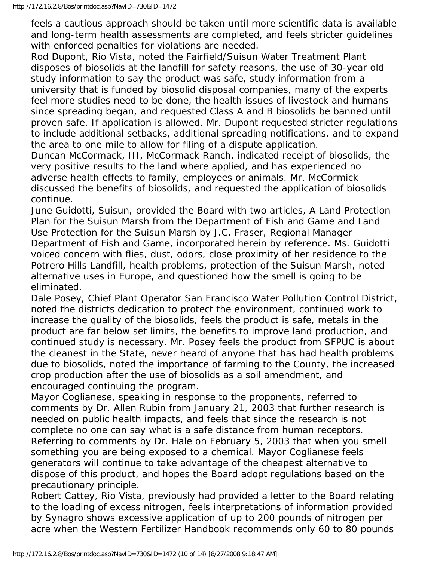feels a cautious approach should be taken until more scientific data is available and long-term health assessments are completed, and feels stricter guidelines with enforced penalties for violations are needed.

Rod Dupont, Rio Vista, noted the Fairfield/Suisun Water Treatment Plant disposes of biosolids at the landfill for safety reasons, the use of 30-year old study information to say the product was safe, study information from a university that is funded by biosolid disposal companies, many of the experts feel more studies need to be done, the health issues of livestock and humans since spreading began, and requested Class A and B biosolids be banned until proven safe. If application is allowed, Mr. Dupont requested stricter regulations to include additional setbacks, additional spreading notifications, and to expand the area to one mile to allow for filing of a dispute application.

Duncan McCormack, III, McCormack Ranch, indicated receipt of biosolids, the very positive results to the land where applied, and has experienced no adverse health effects to family, employees or animals. Mr. McCormick discussed the benefits of biosolids, and requested the application of biosolids continue.

June Guidotti, Suisun, provided the Board with two articles, A Land Protection Plan for the Suisun Marsh from the Department of Fish and Game and Land Use Protection for the Suisun Marsh by J.C. Fraser, Regional Manager Department of Fish and Game, incorporated herein by reference. Ms. Guidotti voiced concern with flies, dust, odors, close proximity of her residence to the Potrero Hills Landfill, health problems, protection of the Suisun Marsh, noted alternative uses in Europe, and questioned how the smell is going to be eliminated.

Dale Posey, Chief Plant Operator San Francisco Water Pollution Control District, noted the districts dedication to protect the environment, continued work to increase the quality of the biosolids, feels the product is safe, metals in the product are far below set limits, the benefits to improve land production, and continued study is necessary. Mr. Posey feels the product from SFPUC is about the cleanest in the State, never heard of anyone that has had health problems due to biosolids, noted the importance of farming to the County, the increased crop production after the use of biosolids as a soil amendment, and encouraged continuing the program.

Mayor Coglianese, speaking in response to the proponents, referred to comments by Dr. Allen Rubin from January 21, 2003 that further research is needed on public health impacts, and feels that since the research is not complete no one can say what is a safe distance from human receptors. Referring to comments by Dr. Hale on February 5, 2003 that when you smell something you are being exposed to a chemical. Mayor Coglianese feels generators will continue to take advantage of the cheapest alternative to dispose of this product, and hopes the Board adopt regulations based on the precautionary principle.

Robert Cattey, Rio Vista, previously had provided a letter to the Board relating to the loading of excess nitrogen, feels interpretations of information provided by Synagro shows excessive application of up to 200 pounds of nitrogen per acre when the Western Fertilizer Handbook recommends only 60 to 80 pounds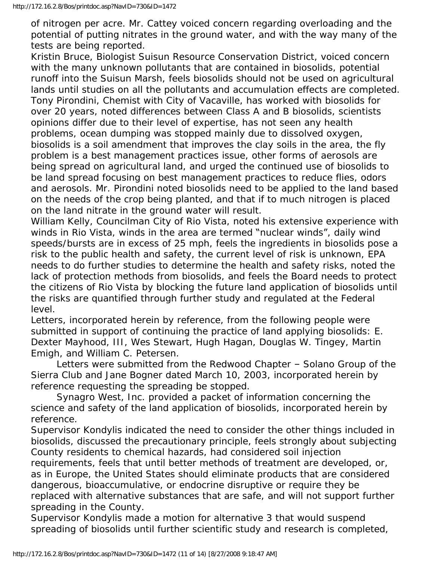of nitrogen per acre. Mr. Cattey voiced concern regarding overloading and the potential of putting nitrates in the ground water, and with the way many of the tests are being reported.

Kristin Bruce, Biologist Suisun Resource Conservation District, voiced concern with the many unknown pollutants that are contained in biosolids, potential runoff into the Suisun Marsh, feels biosolids should not be used on agricultural lands until studies on all the pollutants and accumulation effects are completed. Tony Pirondini, Chemist with City of Vacaville, has worked with biosolids for over 20 years, noted differences between Class A and B biosolids, scientists opinions differ due to their level of expertise, has not seen any health problems, ocean dumping was stopped mainly due to dissolved oxygen, biosolids is a soil amendment that improves the clay soils in the area, the fly problem is a best management practices issue, other forms of aerosols are being spread on agricultural land, and urged the continued use of biosolids to be land spread focusing on best management practices to reduce flies, odors and aerosols. Mr. Pirondini noted biosolids need to be applied to the land based on the needs of the crop being planted, and that if to much nitrogen is placed on the land nitrate in the ground water will result.

William Kelly, Councilman City of Rio Vista, noted his extensive experience with winds in Rio Vista, winds in the area are termed "nuclear winds", daily wind speeds/bursts are in excess of 25 mph, feels the ingredients in biosolids pose a risk to the public health and safety, the current level of risk is unknown, EPA needs to do further studies to determine the health and safety risks, noted the lack of protection methods from biosolids, and feels the Board needs to protect the citizens of Rio Vista by blocking the future land application of biosolids until the risks are quantified through further study and regulated at the Federal level.

Letters, incorporated herein by reference, from the following people were submitted in support of continuing the practice of land applying biosolids: E. Dexter Mayhood, III, Wes Stewart, Hugh Hagan, Douglas W. Tingey, Martin Emigh, and William C. Petersen.

 Letters were submitted from the Redwood Chapter – Solano Group of the Sierra Club and Jane Bogner dated March 10, 2003, incorporated herein by reference requesting the spreading be stopped.

 Synagro West, Inc. provided a packet of information concerning the science and safety of the land application of biosolids, incorporated herein by reference.

Supervisor Kondylis indicated the need to consider the other things included in biosolids, discussed the precautionary principle, feels strongly about subjecting County residents to chemical hazards, had considered soil injection

requirements, feels that until better methods of treatment are developed, or, as in Europe, the United States should eliminate products that are considered dangerous, bioaccumulative, or endocrine disruptive or require they be replaced with alternative substances that are safe, and will not support further spreading in the County.

Supervisor Kondylis made a motion for alternative 3 that would suspend spreading of biosolids until further scientific study and research is completed,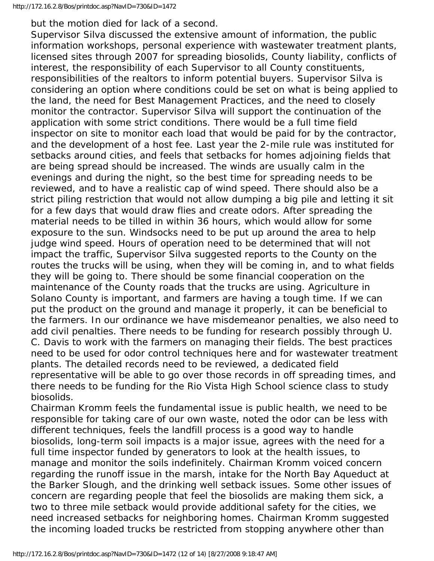but the motion died for lack of a second.

Supervisor Silva discussed the extensive amount of information, the public information workshops, personal experience with wastewater treatment plants, licensed sites through 2007 for spreading biosolids, County liability, conflicts of interest, the responsibility of each Supervisor to all County constituents, responsibilities of the realtors to inform potential buyers. Supervisor Silva is considering an option where conditions could be set on what is being applied to the land, the need for Best Management Practices, and the need to closely monitor the contractor. Supervisor Silva will support the continuation of the application with some strict conditions. There would be a full time field inspector on site to monitor each load that would be paid for by the contractor, and the development of a host fee. Last year the 2-mile rule was instituted for setbacks around cities, and feels that setbacks for homes adjoining fields that are being spread should be increased. The winds are usually calm in the evenings and during the night, so the best time for spreading needs to be reviewed, and to have a realistic cap of wind speed. There should also be a strict piling restriction that would not allow dumping a big pile and letting it sit for a few days that would draw flies and create odors. After spreading the material needs to be tilled in within 36 hours, which would allow for some exposure to the sun. Windsocks need to be put up around the area to help judge wind speed. Hours of operation need to be determined that will not impact the traffic, Supervisor Silva suggested reports to the County on the routes the trucks will be using, when they will be coming in, and to what fields they will be going to. There should be some financial cooperation on the maintenance of the County roads that the trucks are using. Agriculture in Solano County is important, and farmers are having a tough time. If we can put the product on the ground and manage it properly, it can be beneficial to the farmers. In our ordinance we have misdemeanor penalties, we also need to add civil penalties. There needs to be funding for research possibly through U. C. Davis to work with the farmers on managing their fields. The best practices need to be used for odor control techniques here and for wastewater treatment plants. The detailed records need to be reviewed, a dedicated field representative will be able to go over those records in off spreading times, and there needs to be funding for the Rio Vista High School science class to study biosolids.

Chairman Kromm feels the fundamental issue is public health, we need to be responsible for taking care of our own waste, noted the odor can be less with different techniques, feels the landfill process is a good way to handle biosolids, long-term soil impacts is a major issue, agrees with the need for a full time inspector funded by generators to look at the health issues, to manage and monitor the soils indefinitely. Chairman Kromm voiced concern regarding the runoff issue in the marsh, intake for the North Bay Aqueduct at the Barker Slough, and the drinking well setback issues. Some other issues of concern are regarding people that feel the biosolids are making them sick, a two to three mile setback would provide additional safety for the cities, we need increased setbacks for neighboring homes. Chairman Kromm suggested the incoming loaded trucks be restricted from stopping anywhere other than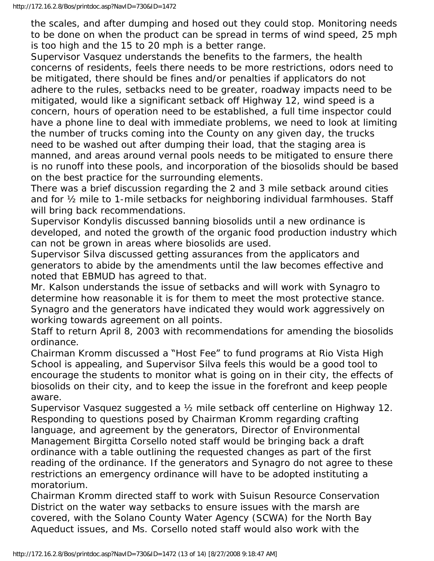the scales, and after dumping and hosed out they could stop. Monitoring needs to be done on when the product can be spread in terms of wind speed, 25 mph is too high and the 15 to 20 mph is a better range.

Supervisor Vasquez understands the benefits to the farmers, the health concerns of residents, feels there needs to be more restrictions, odors need to be mitigated, there should be fines and/or penalties if applicators do not adhere to the rules, setbacks need to be greater, roadway impacts need to be mitigated, would like a significant setback off Highway 12, wind speed is a concern, hours of operation need to be established, a full time inspector could have a phone line to deal with immediate problems, we need to look at limiting the number of trucks coming into the County on any given day, the trucks need to be washed out after dumping their load, that the staging area is manned, and areas around vernal pools needs to be mitigated to ensure there is no runoff into these pools, and incorporation of the biosolids should be based on the best practice for the surrounding elements.

There was a brief discussion regarding the 2 and 3 mile setback around cities and for ½ mile to 1-mile setbacks for neighboring individual farmhouses. Staff will bring back recommendations.

Supervisor Kondylis discussed banning biosolids until a new ordinance is developed, and noted the growth of the organic food production industry which can not be grown in areas where biosolids are used.

Supervisor Silva discussed getting assurances from the applicators and generators to abide by the amendments until the law becomes effective and noted that EBMUD has agreed to that.

Mr. Kalson understands the issue of setbacks and will work with Synagro to determine how reasonable it is for them to meet the most protective stance. Synagro and the generators have indicated they would work aggressively on working towards agreement on all points.

Staff to return April 8, 2003 with recommendations for amending the biosolids ordinance.

Chairman Kromm discussed a "Host Fee" to fund programs at Rio Vista High School is appealing, and Supervisor Silva feels this would be a good tool to encourage the students to monitor what is going on in their city, the effects of biosolids on their city, and to keep the issue in the forefront and keep people aware.

Supervisor Vasquez suggested a ½ mile setback off centerline on Highway 12. Responding to questions posed by Chairman Kromm regarding crafting language, and agreement by the generators, Director of Environmental Management Birgitta Corsello noted staff would be bringing back a draft ordinance with a table outlining the requested changes as part of the first reading of the ordinance. If the generators and Synagro do not agree to these restrictions an emergency ordinance will have to be adopted instituting a moratorium.

Chairman Kromm directed staff to work with Suisun Resource Conservation District on the water way setbacks to ensure issues with the marsh are covered, with the Solano County Water Agency (SCWA) for the North Bay Aqueduct issues, and Ms. Corsello noted staff would also work with the